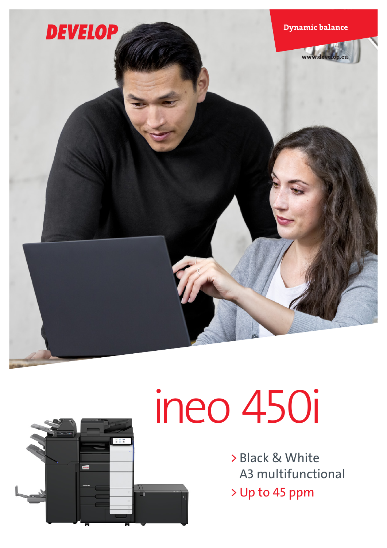



# ineo 450i

> Black & White A3 multifunctional > Up to 45 ppm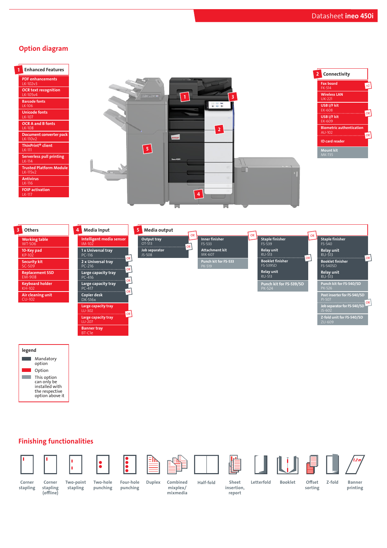#### Option diagram







Finishing functionalities



stapling



(offline)

Two-point stapling

Two-hole punching Four-hole Corner Corner Two-point Two-hole Four-hole Duplex Combined Half-fold

 $\ddot{\bullet}$ 

Duplex Combined









Offset Z-fold

insertion,

Banner printing

punching

mixplex/ mixmedia

report

Sheet Letterfold Booklet

sorting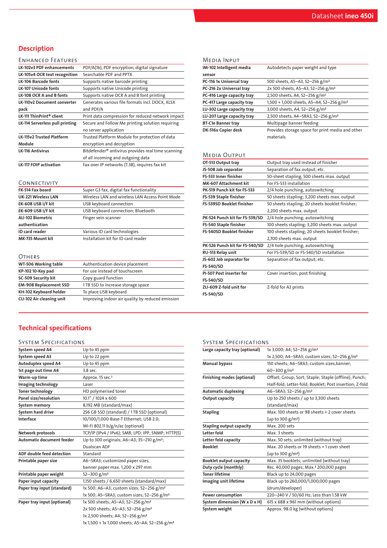## **Description**

#### ENHANCED FEATURES

| LK-102v3 PDF enhancements          | PDF/A(1b), PDF encryption, digital signature                   |
|------------------------------------|----------------------------------------------------------------|
| LK-105v4 OCR text recognition      | Searchable PDF and PPTX                                        |
| <b>LK-106 Barcode fonts</b>        | Supports native barcode printing                               |
| <b>LK-107 Unicode fonts</b>        | Supports native Unicode printing                               |
| LK-108 OCR A and B fonts           | Supports native OCR A and B font printing                      |
| <b>LK-110v2 Document converter</b> | Generates various file formats incl. DOCX, XLSX                |
| pack                               | and PDF/A                                                      |
| LK-111 ThinPrint® client           | Print data compression for reduced network impact              |
| LK-114 Serverless pull printing    | Secure and Follow Me printing solution requiring               |
|                                    | no server application                                          |
| <b>LK-115v2 Trusted Platform</b>   | Trusted Platform Module for protection of data                 |
| Module                             | encryption and decryption                                      |
| <b>LK-116 Antivirus</b>            | Bitdefender <sup>®</sup> antivirus provides real time scanning |
|                                    | of all incoming and outgoing data                              |
| <b>LK-117 FOIP activation</b>      | Fax over IP networks (T.38), requires fax kit                  |
|                                    |                                                                |

#### CONNECTIVITY

| FK-514 Fax board           | Super G3 fax, digital fax functionality         |
|----------------------------|-------------------------------------------------|
| <b>UK-221 Wireless LAN</b> | Wireless LAN and wireless LAN Access Point Mode |
| EK-608 USB I/F kit         | USB keyboard connection                         |
| EK-609 USB I/F kit         | USB keyboard connection; Bluetooth              |
| <b>AU-102 Biometric</b>    | Finger vein scanner                             |
| authentication             |                                                 |
| ID card reader             | Various ID card technologies                    |
| MK-735 Mount kit           | Installation kit for ID card reader             |

#### **OTHERS**

| UINERS                          |                                                  |
|---------------------------------|--------------------------------------------------|
| WT-506 Working table            | Authentication device placement                  |
| KP-102 10-Key pad               | For use instead of touchscreen                   |
| SC-509 Security kit             | Copy guard function                              |
| <b>EM-908 Replacement SSD</b>   | 1TB SSD to increase storage space                |
| KH-102 Keyboard holder          | To place USB keyboard                            |
| <b>CU-102 Air cleaning unit</b> | Improving indoor air quality by reduced emission |
|                                 |                                                  |

| Media Input                      |                                                      |
|----------------------------------|------------------------------------------------------|
| IM-102 Intelligent media         | Autodetects paper weight and type                    |
| sensor                           |                                                      |
| PC-116 1x Universal tray         | 500 sheets, A5-A3, 52-256 g/m <sup>2</sup>           |
| PC-216 2x Universal tray         | 2x 500 sheets, A5-A3, 52-256 g/m <sup>2</sup>        |
| PC-416 Large capacity tray       | 2,500 sheets, A4, 52-256 g/m <sup>2</sup>            |
| PC-417 Large capacity tray       | 1,500 + 1,000 sheets, A5-A4, 52-256 g/m <sup>2</sup> |
| LU-302 Large capacity tray       | 3,000 sheets, A4, 52-256 g/m <sup>2</sup>            |
| LU-207 Large capacity tray       | 2,500 sheets, A4-SRA3, 52-256 g/m <sup>2</sup>       |
| <b>BT-C1e Banner tray</b>        | Multipage banner feeding                             |
| DK-516x Copier desk              | Provides storage space for print media and other     |
|                                  | materials                                            |
|                                  |                                                      |
| <b>MEDIA OUTPUT</b>              |                                                      |
| OT-513 Output tray               | Output tray used instead of finisher                 |
| JS-508 Job separator             | Separation of fax output; etc.                       |
| FS-533 Inner finisher            | 50-sheet stapling, 500 sheets max. output            |
| MK-607 Attachment kit            | For FS-533 installation                              |
| PK-519 Punch kit for FS-533      | 2/4 hole punching, autoswitching                     |
| FS-539 Staple finisher           | 50 sheets stapling; 3,200 sheets max. output         |
| <b>FS-539SD Booklet finisher</b> | 50 sheets stapling; 20 sheets booklet finisher;      |
|                                  | 2,200 sheets max. output                             |
|                                  |                                                      |

| FS-539SD Booklet finisher       | 50 sheets stapling; 20 sheets booklet finisher;  |
|---------------------------------|--------------------------------------------------|
|                                 | 2,200 sheets max. output                         |
| PK-524 Punch kit for FS-539/SD  | 2/4 hole punching; autoswitching                 |
| FS-540 Staple finisher          | 100 sheets stapling; 3,200 sheets max. output    |
| FS-540SD Booklet finisher       | 100 sheets stapling; 20 sheets booklet finisher; |
|                                 | 2,700 sheets max. output                         |
| PK-526 Punch kit for FS-540/SD  | 2/4 hole punching; autoswitching                 |
| RU-513 Relay unit               | For FS-539/SD or FS-540/SD installation          |
| JS-602 Job separator for        | Separation of fax output; etc.                   |
| FS-540/SD                       |                                                  |
| <b>PI-507 Post inserter for</b> | Cover insertion; post finishing                  |
| FS-540/SD                       |                                                  |
| ZU-609 Z-fold unit for          | Z-fold for A3 prints                             |
| FS-540/SD                       |                                                  |

### Technical specifications

#### System Specifications

| System speed A4                  | Up to 45 ppm                                               |
|----------------------------------|------------------------------------------------------------|
| System speed A3                  | Up to 22 ppm                                               |
| Autoduplex speed A4              | Up to 45 ppm                                               |
| 1st page out time A4             | 3.8 sec.                                                   |
| Warm-up time                     | Approx. 15 sec. <sup>1</sup>                               |
| Imaging technology               | Laser                                                      |
| <b>Toner technology</b>          | HD polymerised toner                                       |
| Panel size/resolution            | 10.1" / 1024 x 600                                         |
| System memory                    | 8,192 MB (standard/max)                                    |
| System hard drive                | 256 GB SSD (standard) / 1TB SSD (optional)                 |
| Interface                        | 10/100/1,000-Base-T Ethernet; USB 2.0;                     |
|                                  | Wi-Fi 802.11 b/g/n/ac (optional)                           |
| Network protocols                | TCP/IP (IPv4 / IPv6); SMB; LPD; IPP; SNMP; HTTP(S)         |
| <b>Automatic document feeder</b> | Up to 300 originals; A6-A3; 35-210 g/m <sup>2</sup> ;      |
|                                  | Dualscan ADF                                               |
| <b>ADF double feed detection</b> | Standard                                                   |
| Printable paper size             | A6-SRA3; customized paper sizes,                           |
|                                  | banner paper max. 1,200 x 297 mm                           |
| Printable paper weight           | 52-300 g/m <sup>2</sup>                                    |
| Paper input capacity             | 1,150 sheets / 6,650 sheets (standard/max)                 |
| Paper tray input (standard)      | 1x 500; A6-A3; custom sizes; 52-256 g/m <sup>2</sup>       |
|                                  | 1x 500; A5-SRA3; custom sizes; 52-256 g/m <sup>2</sup>     |
| Paper tray input (optional)      | 1x 500 sheets; A5-A3; 52-256 g/m <sup>2</sup>              |
|                                  | 2x 500 sheets; A5-A3; 52-256 g/m <sup>2</sup>              |
|                                  | 1x 2,500 sheets; A4; 52-256 g/m <sup>2</sup>               |
|                                  | 1x 1,500 + 1x 1,000 sheets; A5-A4; 52-256 g/m <sup>2</sup> |

#### System Specifications

| Large capacity tray (optional) | 1x 3,000; A4; 52-256 g/m <sup>2</sup>                    |
|--------------------------------|----------------------------------------------------------|
|                                | 1x 2,500; A4-SRA3; custom sizes; 52-256 g/m <sup>2</sup> |
| <b>Manual bypass</b>           | 150 sheets; A6-SRA3; custom sizes, banner;               |
|                                | $60 - 300$ g/m <sup>2</sup>                              |
| Finishing modes (optional)     | Offset; Group; Sort; Staple; Staple (offline); Punch;    |
|                                | Half-fold; Letter-fold; Booklet; Post insertion; Z-fold  |
| <b>Automatic duplexing</b>     | A6-SRA3; 52-256 g/m <sup>2</sup>                         |
| Output capacity                | Up to 250 sheets / up to 3,300 sheets                    |
|                                | (standard/max)                                           |
| <b>Stapling</b>                | Max, 100 sheets or 98 sheets + 2 cover sheets            |
|                                | (up to 300 g/m <sup>2</sup> )                            |
| Stapling output capacity       | Max. 200 sets                                            |
| Letter fold                    | Max. 3 sheets                                            |
| Letter fold capacity           | Max. 50 sets; unlimited (without tray)                   |
| <b>Booklet</b>                 | Max. 20 sheets or 19 sheets +1 cover sheet               |
|                                | (up to 300 $g/m^2$ )                                     |
| <b>Booklet output capacity</b> | Max. 35 booklets; unlimited (without tray)               |
| Duty cycle (monthly)           | Rec. 40,000 pages; Max. <sup>2</sup> 200,000 pages       |
| <b>Toner lifetime</b>          | Black up to 24,000 pages                                 |
| Imaging unit lifetime          | Black up to 260,000/1,000,000 pages                      |
|                                | (drum/developer)                                         |
| Power consumption              | 220-240 V / 50/60 Hz; Less than 1.58 kW                  |
| System dimension (W x D x H)   | 615 x 688 x 961 mm (without options)                     |
| System weight                  | Approx. 98.0 kg (without options)                        |
|                                |                                                          |